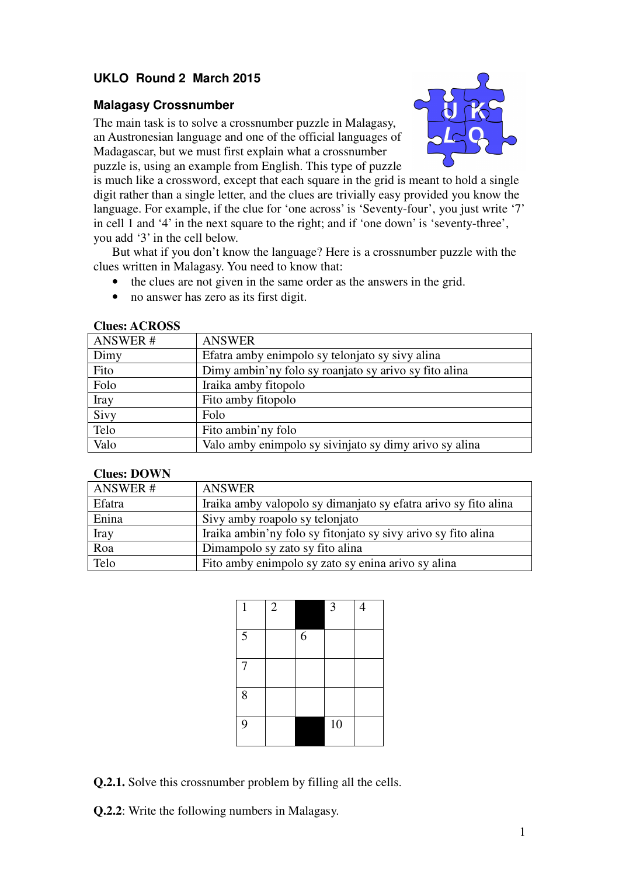## **UKLO Round 2 March 2015**

### **Malagasy Crossnumber**

The main task is to solve a crossnumber puzzle in Malagasy, an Austronesian language and one of the official languages of Madagascar, but we must first explain what a crossnumber puzzle is, using an example from English. This type of puzzle



is much like a crossword, except that each square in the grid is meant to hold a single digit rather than a single letter, and the clues are trivially easy provided you know the language. For example, if the clue for 'one across' is 'Seventy-four', you just write '7' in cell 1 and '4' in the next square to the right; and if 'one down' is 'seventy-three', you add '3' in the cell below.

But what if you don't know the language? Here is a crossnumber puzzle with the clues written in Malagasy. You need to know that:

- the clues are not given in the same order as the answers in the grid.
- no answer has zero as its first digit.

## ANSWER # ANSWER Dimy Efatra amby enimpolo sy telonjato sy sivy alina Fito Dimy ambin'ny folo sy roanjato sy arivo sy fito alina Folo Iraika amby fitopolo Iray Fito amby fitopolo Siyy Folo Telo Fito ambin'ny folo Valo Valo amby enimpolo sy sivinjato sy dimy arivo sy alina

#### **Clues: ACROSS**

#### **Clues: DOWN**

| ANSWER#     | ANSWER                                                          |
|-------------|-----------------------------------------------------------------|
| Efatra      | Iraika amby valopolo sy dimanjato sy efatra arivo sy fito alina |
| Enina       | Sivy amby roapolo sy telonjato                                  |
| <b>Iray</b> | Iraika ambin'ny folo sy fitonjato sy sivy arivo sy fito alina   |
| Roa         | Dimampolo sy zato sy fito alina                                 |
| Telo        | Fito amby enimpolo sy zato sy enina arivo sy alina              |

| 1 | $\overline{2}$ |   | 3               | $\overline{4}$ |
|---|----------------|---|-----------------|----------------|
| 5 |                | 6 |                 |                |
| 7 |                |   |                 |                |
| 8 |                |   |                 |                |
| 9 |                |   | $\overline{10}$ |                |

**Q.2.1.** Solve this crossnumber problem by filling all the cells.

**Q.2.2**: Write the following numbers in Malagasy.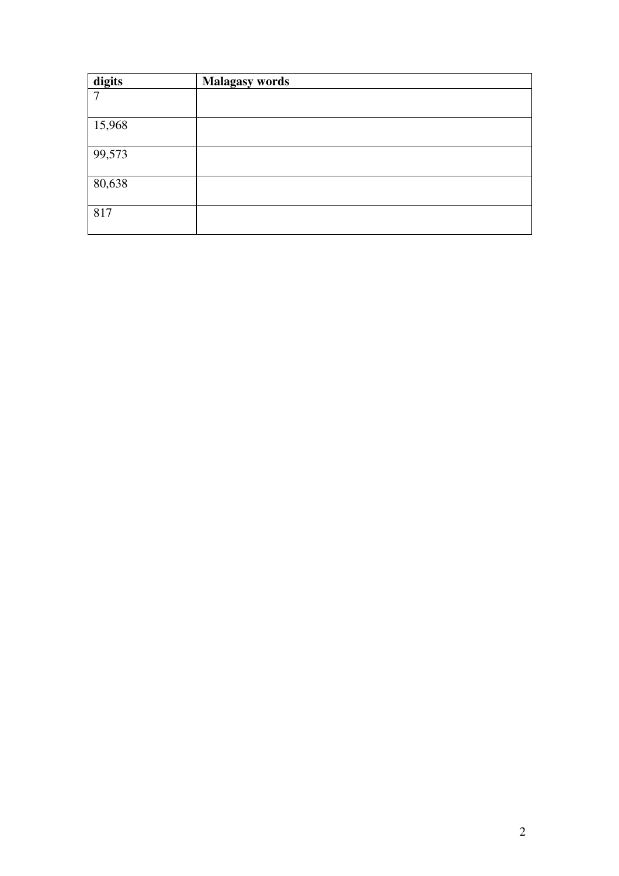| digits | <b>Malagasy words</b> |
|--------|-----------------------|
| $\tau$ |                       |
| 15,968 |                       |
| 99,573 |                       |
| 80,638 |                       |
| 817    |                       |